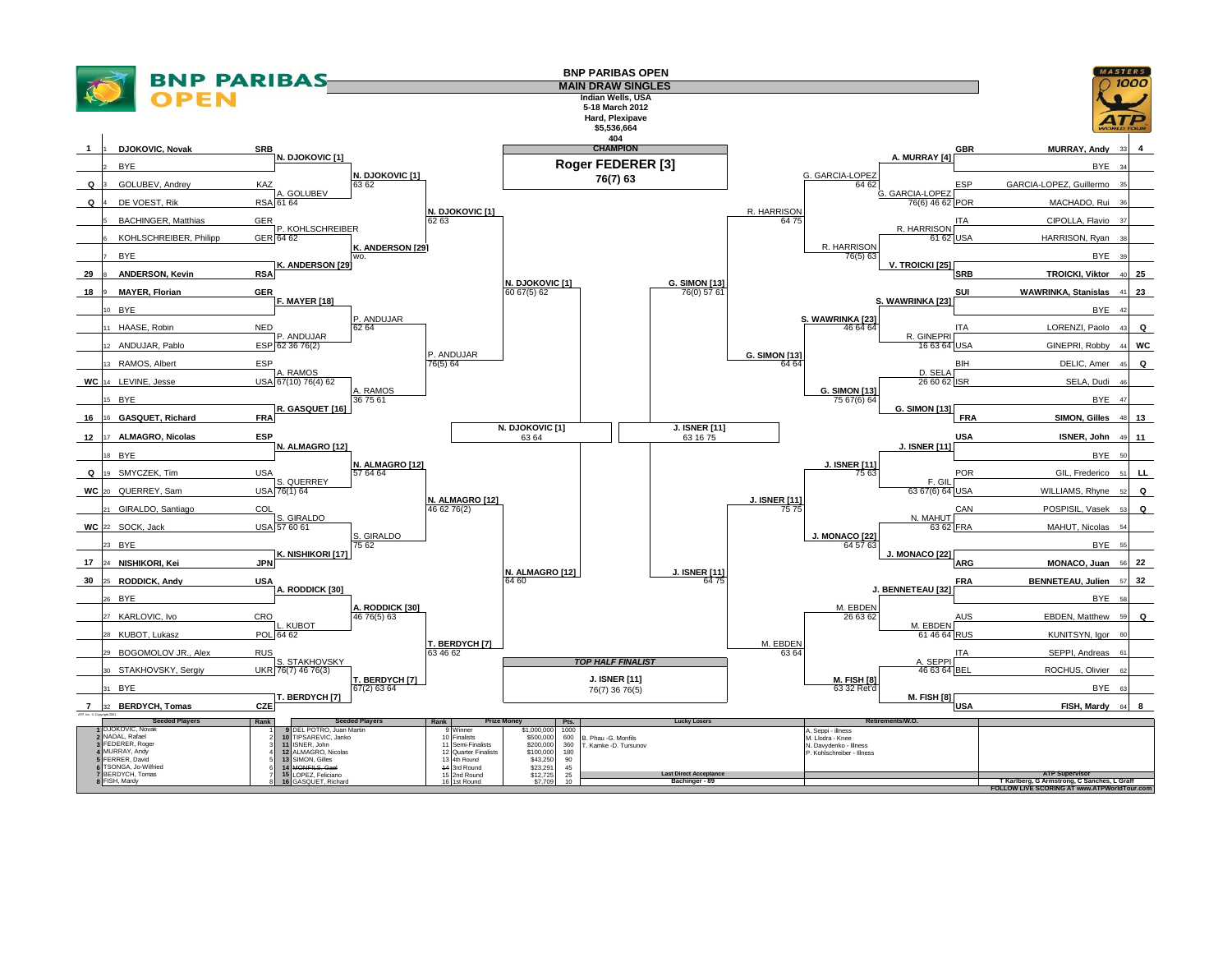